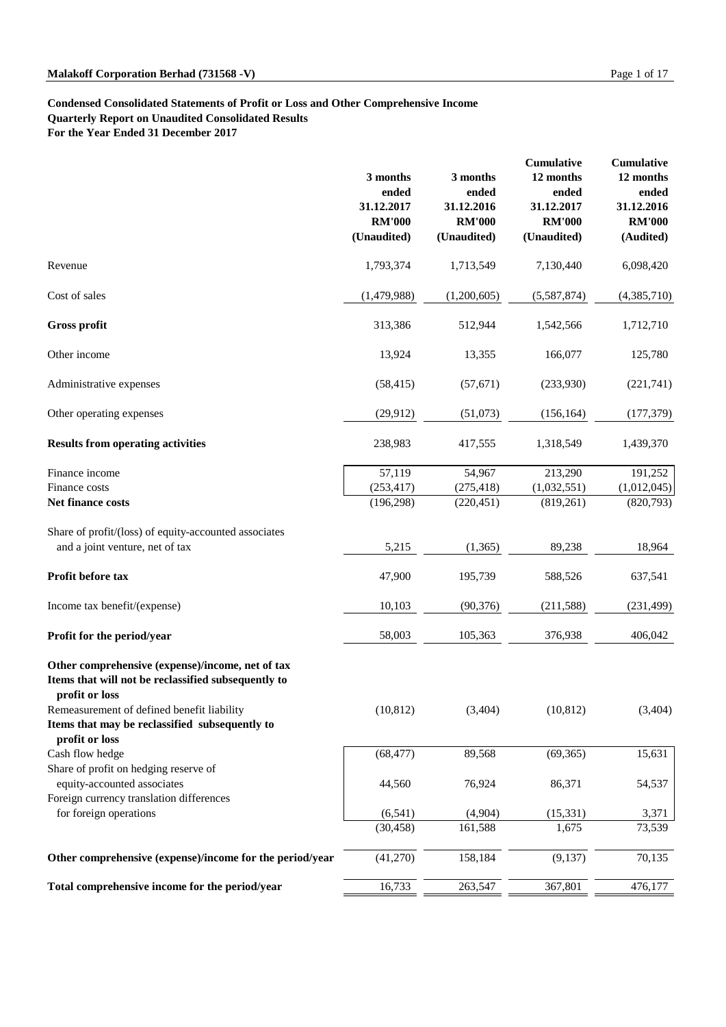#### **Condensed Consolidated Statements of Profit or Loss and Other Comprehensive Income**

**Quarterly Report on Unaudited Consolidated Results**

**For the Year Ended 31 December 2017**

|                                                                                                                           | 3 months<br>ended<br>31.12.2017<br><b>RM'000</b><br>(Unaudited) | 3 months<br>ended<br>31.12.2016<br><b>RM'000</b><br>(Unaudited) | Cumulative<br>12 months<br>ended<br>31.12.2017<br><b>RM'000</b><br>(Unaudited) | Cumulative<br>12 months<br>ended<br>31.12.2016<br><b>RM'000</b><br>(Audited) |
|---------------------------------------------------------------------------------------------------------------------------|-----------------------------------------------------------------|-----------------------------------------------------------------|--------------------------------------------------------------------------------|------------------------------------------------------------------------------|
| Revenue                                                                                                                   | 1,793,374                                                       | 1,713,549                                                       | 7,130,440                                                                      | 6,098,420                                                                    |
| Cost of sales                                                                                                             | (1,479,988)                                                     | (1,200,605)                                                     | (5,587,874)                                                                    | (4,385,710)                                                                  |
| <b>Gross profit</b>                                                                                                       | 313,386                                                         | 512,944                                                         | 1,542,566                                                                      | 1,712,710                                                                    |
| Other income                                                                                                              | 13,924                                                          | 13,355                                                          | 166,077                                                                        | 125,780                                                                      |
| Administrative expenses                                                                                                   | (58, 415)                                                       | (57, 671)                                                       | (233,930)                                                                      | (221,741)                                                                    |
| Other operating expenses                                                                                                  | (29, 912)                                                       | (51,073)                                                        | (156, 164)                                                                     | (177, 379)                                                                   |
| <b>Results from operating activities</b>                                                                                  | 238,983                                                         | 417,555                                                         | 1,318,549                                                                      | 1,439,370                                                                    |
| Finance income                                                                                                            | 57,119                                                          | 54,967                                                          | 213,290                                                                        | 191,252                                                                      |
| Finance costs                                                                                                             | (253, 417)                                                      | (275, 418)                                                      | (1,032,551)                                                                    | (1,012,045)                                                                  |
| Net finance costs                                                                                                         | (196, 298)                                                      | (220, 451)                                                      | (819,261)                                                                      | (820,793)                                                                    |
| Share of profit/(loss) of equity-accounted associates<br>and a joint venture, net of tax                                  | 5,215                                                           | (1, 365)                                                        | 89,238                                                                         | 18,964                                                                       |
| Profit before tax                                                                                                         | 47,900                                                          | 195,739                                                         | 588,526                                                                        | 637,541                                                                      |
| Income tax benefit/(expense)                                                                                              | 10,103                                                          | (90, 376)                                                       | (211, 588)                                                                     | (231, 499)                                                                   |
| Profit for the period/year                                                                                                | 58,003                                                          | 105,363                                                         | 376,938                                                                        | 406,042                                                                      |
| Other comprehensive (expense)/income, net of tax<br>Items that will not be reclassified subsequently to<br>profit or loss |                                                                 |                                                                 |                                                                                |                                                                              |
| Remeasurement of defined benefit liability<br>Items that may be reclassified subsequently to                              | (10, 812)                                                       | (3,404)                                                         | (10, 812)                                                                      | (3,404)                                                                      |
| profit or loss                                                                                                            |                                                                 |                                                                 |                                                                                |                                                                              |
| Cash flow hedge                                                                                                           | (68, 477)                                                       | 89,568                                                          | (69, 365)                                                                      | 15,631                                                                       |
| Share of profit on hedging reserve of<br>equity-accounted associates                                                      | 44,560                                                          | 76,924                                                          | 86,371                                                                         | 54,537                                                                       |
| Foreign currency translation differences                                                                                  |                                                                 |                                                                 |                                                                                |                                                                              |
| for foreign operations                                                                                                    | (6, 541)                                                        | (4,904)                                                         | (15,331)                                                                       | 3,371                                                                        |
|                                                                                                                           | (30, 458)                                                       | 161,588                                                         | 1,675                                                                          | 73,539                                                                       |
| Other comprehensive (expense)/income for the period/year                                                                  | (41,270)                                                        | 158,184                                                         | (9,137)                                                                        | 70,135                                                                       |
| Total comprehensive income for the period/year                                                                            | 16,733                                                          | 263,547                                                         | 367,801                                                                        | 476,177                                                                      |
|                                                                                                                           |                                                                 |                                                                 |                                                                                |                                                                              |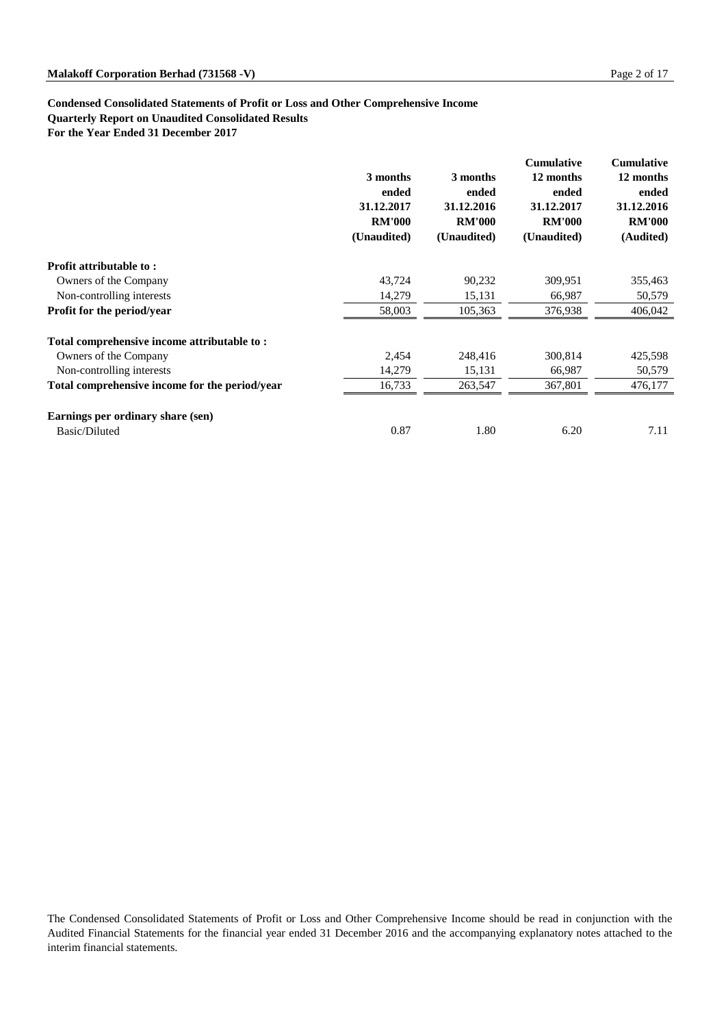#### **Condensed Consolidated Statements of Profit or Loss and Other Comprehensive Income**

**Quarterly Report on Unaudited Consolidated Results**

**For the Year Ended 31 December 2017**

|                                                | 3 months<br>ended<br>31.12.2017<br><b>RM'000</b><br>(Unaudited) | 3 months<br>ended<br>31.12.2016<br><b>RM'000</b><br>(Unaudited) | <b>Cumulative</b><br>12 months<br>ended<br>31.12.2017<br><b>RM'000</b><br>(Unaudited) | <b>Cumulative</b><br>12 months<br>ended<br>31.12.2016<br><b>RM'000</b><br>(Audited) |
|------------------------------------------------|-----------------------------------------------------------------|-----------------------------------------------------------------|---------------------------------------------------------------------------------------|-------------------------------------------------------------------------------------|
| <b>Profit attributable to:</b>                 |                                                                 |                                                                 |                                                                                       |                                                                                     |
| Owners of the Company                          | 43,724                                                          | 90,232                                                          | 309,951                                                                               | 355,463                                                                             |
| Non-controlling interests                      | 14,279                                                          | 15,131                                                          | 66,987                                                                                | 50,579                                                                              |
| <b>Profit for the period/year</b>              | 58,003                                                          | 105,363                                                         | 376,938                                                                               | 406,042                                                                             |
| Total comprehensive income attributable to:    |                                                                 |                                                                 |                                                                                       |                                                                                     |
| Owners of the Company                          | 2,454                                                           | 248,416                                                         | 300,814                                                                               | 425,598                                                                             |
| Non-controlling interests                      | 14,279                                                          | 15,131                                                          | 66,987                                                                                | 50,579                                                                              |
| Total comprehensive income for the period/year | 16,733                                                          | 263,547                                                         | 367,801                                                                               | 476,177                                                                             |
| Earnings per ordinary share (sen)              |                                                                 |                                                                 |                                                                                       |                                                                                     |
| Basic/Diluted                                  | 0.87                                                            | 1.80                                                            | 6.20                                                                                  | 7.11                                                                                |

The Condensed Consolidated Statements of Profit or Loss and Other Comprehensive Income should be read in conjunction with the Audited Financial Statements for the financial year ended 31 December 2016 and the accompanying explanatory notes attached to the interim financial statements.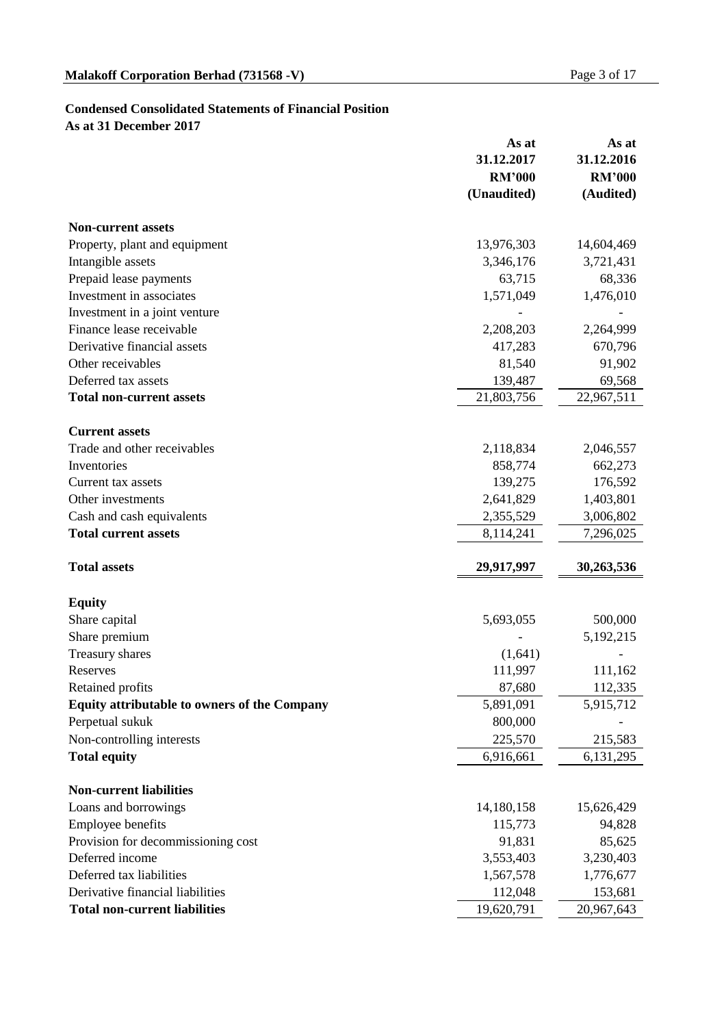### **Condensed Consolidated Statements of Financial Position**

**As at 31 December 2017**

|                                              | As at         | As at         |
|----------------------------------------------|---------------|---------------|
|                                              | 31.12.2017    | 31.12.2016    |
|                                              | <b>RM'000</b> | <b>RM'000</b> |
|                                              | (Unaudited)   | (Audited)     |
| <b>Non-current assets</b>                    |               |               |
| Property, plant and equipment                | 13,976,303    | 14,604,469    |
| Intangible assets                            | 3,346,176     | 3,721,431     |
| Prepaid lease payments                       | 63,715        | 68,336        |
| Investment in associates                     | 1,571,049     | 1,476,010     |
| Investment in a joint venture                |               |               |
| Finance lease receivable                     | 2,208,203     | 2,264,999     |
| Derivative financial assets                  | 417,283       | 670,796       |
| Other receivables                            | 81,540        | 91,902        |
| Deferred tax assets                          | 139,487       | 69,568        |
| <b>Total non-current assets</b>              | 21,803,756    | 22,967,511    |
| <b>Current assets</b>                        |               |               |
| Trade and other receivables                  | 2,118,834     | 2,046,557     |
| Inventories                                  | 858,774       | 662,273       |
| Current tax assets                           | 139,275       | 176,592       |
| Other investments                            | 2,641,829     | 1,403,801     |
| Cash and cash equivalents                    | 2,355,529     | 3,006,802     |
| <b>Total current assets</b>                  | 8,114,241     | 7,296,025     |
|                                              |               |               |
| <b>Total assets</b>                          | 29,917,997    | 30,263,536    |
|                                              |               |               |
| <b>Equity</b>                                |               |               |
| Share capital                                | 5,693,055     | 500,000       |
| Share premium                                |               | 5,192,215     |
| Treasury shares                              | (1,641)       |               |
| Reserves                                     | 111,997       | 111,162       |
| Retained profits                             | 87,680        | 112,335       |
| Equity attributable to owners of the Company | 5,891,091     | 5,915,712     |
| Perpetual sukuk                              | 800,000       |               |
| Non-controlling interests                    | 225,570       | 215,583       |
| <b>Total equity</b>                          | 6,916,661     | 6, 131, 295   |
| <b>Non-current liabilities</b>               |               |               |
| Loans and borrowings                         | 14,180,158    | 15,626,429    |
| Employee benefits                            | 115,773       | 94,828        |
| Provision for decommissioning cost           | 91,831        | 85,625        |
| Deferred income                              | 3,553,403     | 3,230,403     |
| Deferred tax liabilities                     | 1,567,578     | 1,776,677     |
| Derivative financial liabilities             | 112,048       | 153,681       |
| <b>Total non-current liabilities</b>         | 19,620,791    | 20,967,643    |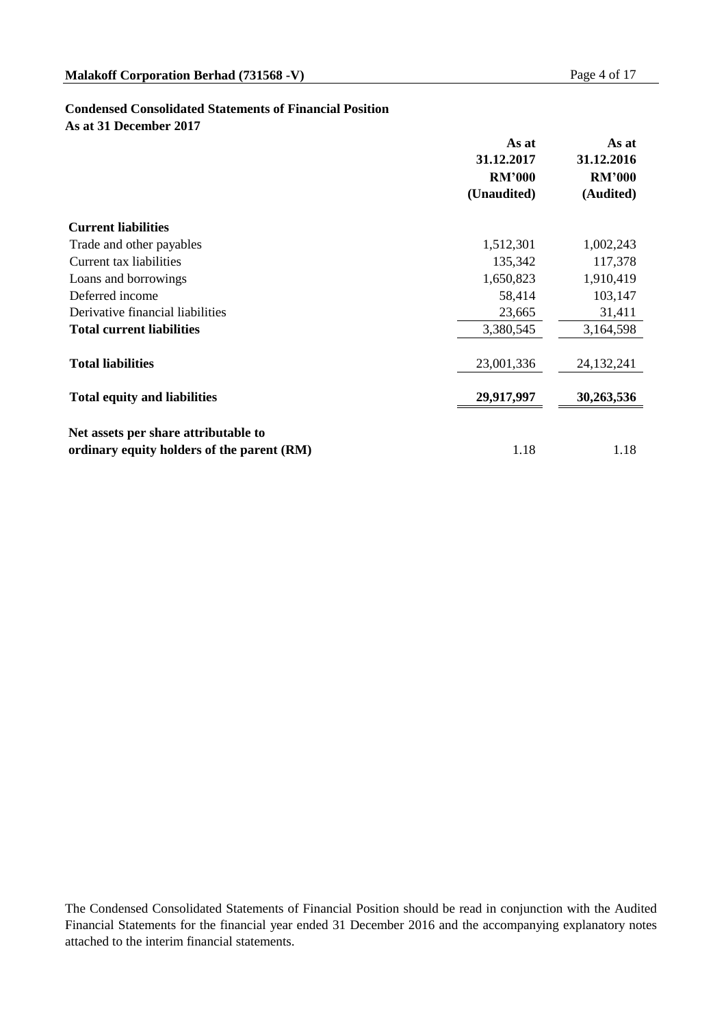#### **Condensed Consolidated Statements of Financial Position**

**As at 31 December 2017**

|                                            | As at<br>31.12.2017 | As at<br>31.12.2016<br><b>RM'000</b> |  |
|--------------------------------------------|---------------------|--------------------------------------|--|
|                                            | <b>RM'000</b>       |                                      |  |
|                                            | (Unaudited)         | (Audited)                            |  |
| <b>Current liabilities</b>                 |                     |                                      |  |
| Trade and other payables                   | 1,512,301           | 1,002,243                            |  |
| Current tax liabilities                    | 135,342             | 117,378                              |  |
| Loans and borrowings                       | 1,650,823           | 1,910,419                            |  |
| Deferred income                            | 58,414              | 103,147                              |  |
| Derivative financial liabilities           | 23,665              | 31,411                               |  |
| <b>Total current liabilities</b>           | 3,380,545           | 3,164,598                            |  |
| <b>Total liabilities</b>                   | 23,001,336          | 24, 132, 241                         |  |
| <b>Total equity and liabilities</b>        | 29,917,997          | 30,263,536                           |  |
|                                            |                     |                                      |  |
| Net assets per share attributable to       |                     |                                      |  |
| ordinary equity holders of the parent (RM) | 1.18                | 1.18                                 |  |

The Condensed Consolidated Statements of Financial Position should be read in conjunction with the Audited Financial Statements for the financial year ended 31 December 2016 and the accompanying explanatory notes attached to the interim financial statements.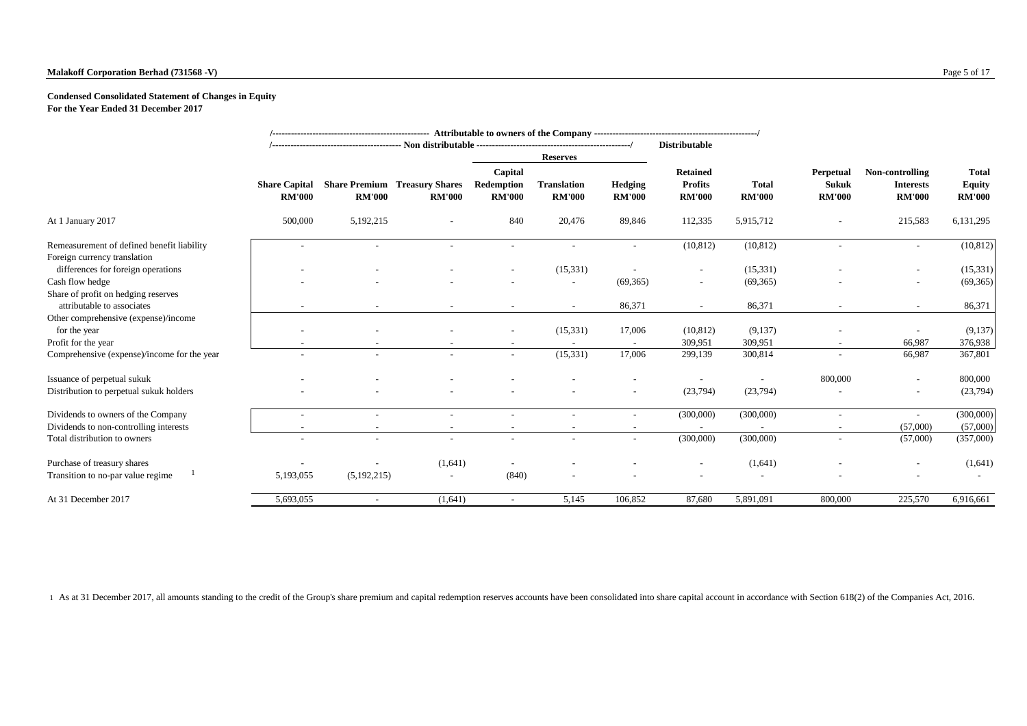#### **Malakoff Corporation Berhad (731568 -V)** Page 5 of 17

#### **Condensed Consolidated Statement of Changes in Equity**

**For the Year Ended 31 December 2017**

|                                                                            |                                       |                                                       |                                                                                                |                          | <b>Reserves</b>          |                                                    | <b>Distributable</b>          |                                            |                                                      |                                                |           |
|----------------------------------------------------------------------------|---------------------------------------|-------------------------------------------------------|------------------------------------------------------------------------------------------------|--------------------------|--------------------------|----------------------------------------------------|-------------------------------|--------------------------------------------|------------------------------------------------------|------------------------------------------------|-----------|
|                                                                            | <b>Share Capital</b><br><b>RM'000</b> | <b>Share Premium Treasury Shares</b><br><b>RM'000</b> | Capital<br>Redemption<br><b>Translation</b><br><b>RM'000</b><br><b>RM'000</b><br><b>RM'000</b> |                          | Hedging<br><b>RM'000</b> | <b>Retained</b><br><b>Profits</b><br><b>RM'000</b> | <b>Total</b><br><b>RM'000</b> | Perpetual<br><b>Sukuk</b><br><b>RM'000</b> | Non-controlling<br><b>Interests</b><br><b>RM'000</b> | <b>Total</b><br><b>Equity</b><br><b>RM'000</b> |           |
| At 1 January 2017                                                          | 500,000                               | 5,192,215                                             |                                                                                                | 840                      | 20,476                   | 89,846                                             | 112,335                       | 5,915,712                                  |                                                      | 215,583                                        | 6,131,295 |
| Remeasurement of defined benefit liability<br>Foreign currency translation |                                       |                                                       |                                                                                                |                          |                          |                                                    | (10, 812)                     | (10, 812)                                  |                                                      |                                                | (10, 812) |
| differences for foreign operations                                         |                                       |                                                       |                                                                                                |                          | (15, 331)                |                                                    |                               | (15, 331)                                  |                                                      |                                                | (15,331)  |
| Cash flow hedge                                                            |                                       |                                                       |                                                                                                |                          |                          | (69, 365)                                          | $\overline{\phantom{a}}$      | (69, 365)                                  |                                                      |                                                | (69,365)  |
| Share of profit on hedging reserves<br>attributable to associates          |                                       |                                                       |                                                                                                |                          |                          | 86,371                                             |                               | 86,371                                     |                                                      |                                                | 86,371    |
| Other comprehensive (expense)/income<br>for the year                       |                                       |                                                       |                                                                                                |                          | (15, 331)                | 17,006                                             | (10, 812)                     | (9,137)                                    |                                                      |                                                | (9,137)   |
| Profit for the year                                                        |                                       |                                                       |                                                                                                |                          |                          |                                                    | 309,951                       | 309,951                                    |                                                      | 66,987                                         | 376,938   |
| Comprehensive (expense)/income for the year                                |                                       |                                                       |                                                                                                | $\overline{\phantom{a}}$ | (15, 331)                | 17,006                                             | 299,139                       | 300,814                                    | $\overline{\phantom{a}}$                             | 66,987                                         | 367,801   |
| Issuance of perpetual sukuk                                                |                                       |                                                       |                                                                                                |                          |                          |                                                    |                               |                                            | 800,000                                              | $\overline{a}$                                 | 800,000   |
| Distribution to perpetual sukuk holders                                    |                                       |                                                       |                                                                                                |                          |                          | $\overline{\phantom{a}}$                           | (23, 794)                     | (23,794)                                   |                                                      |                                                | (23,794)  |
| Dividends to owners of the Company                                         |                                       |                                                       |                                                                                                | $\qquad \qquad -$        |                          | $\overline{\phantom{a}}$                           | (300,000)                     | (300,000)                                  | $\overline{a}$                                       | $\sim$                                         | (300,000) |
| Dividends to non-controlling interests                                     |                                       |                                                       |                                                                                                |                          |                          |                                                    |                               |                                            |                                                      | (57,000)                                       | (57,000)  |
| Total distribution to owners                                               |                                       |                                                       |                                                                                                | $\overline{\phantom{a}}$ |                          | $\overline{\phantom{a}}$                           | (300,000)                     | (300,000)                                  | $\overline{\phantom{a}}$                             | (57,000)                                       | (357,000) |
| Purchase of treasury shares                                                |                                       |                                                       | (1,641)                                                                                        |                          |                          |                                                    |                               | (1,641)                                    |                                                      |                                                | (1,641)   |
| Transition to no-par value regime                                          | 5,193,055                             | (5,192,215)                                           | $\overline{\phantom{0}}$                                                                       | (840)                    |                          |                                                    |                               |                                            |                                                      |                                                |           |
| At 31 December 2017                                                        | 5,693,055                             |                                                       | (1,641)                                                                                        |                          | 5,145                    | 106,852                                            | 87,680                        | 5,891,091                                  | 800,000                                              | 225,570                                        | 6,916,661 |

1 As at 31 December 2017, all amounts standing to the credit of the Group's share premium and capital redemption reserves accounts have been consolidated into share capital account in accordance with Section 618(2) of the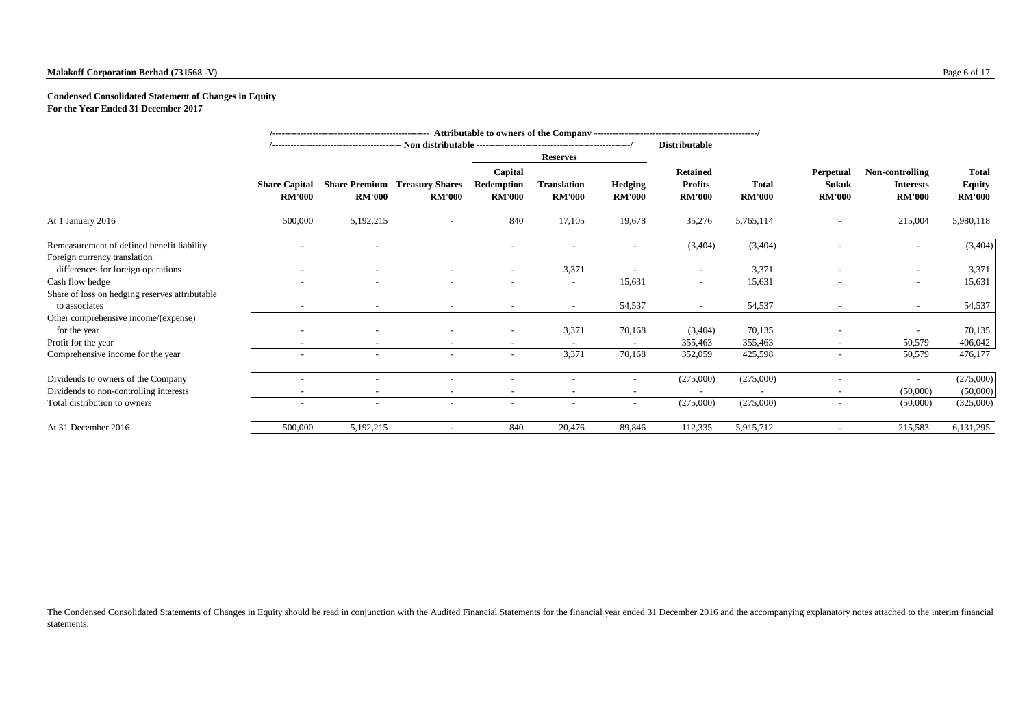#### **Malakoff Corporation Berhad (731568 -V)** Page 6 of 17

#### **Condensed Consolidated Statement of Changes in Equity**

**For the Year Ended 31 December 2017**

|                                                                            |                                       |                          |                                                       |                                        |                                     |                          | <b>Distributable</b>                               |                               |                                            |                                                      |                                                |
|----------------------------------------------------------------------------|---------------------------------------|--------------------------|-------------------------------------------------------|----------------------------------------|-------------------------------------|--------------------------|----------------------------------------------------|-------------------------------|--------------------------------------------|------------------------------------------------------|------------------------------------------------|
|                                                                            |                                       |                          |                                                       |                                        | <b>Reserves</b>                     |                          |                                                    |                               |                                            |                                                      |                                                |
|                                                                            | <b>Share Capital</b><br><b>RM'000</b> | <b>RM'000</b>            | <b>Share Premium Treasury Shares</b><br><b>RM'000</b> | Capital<br>Redemption<br><b>RM'000</b> | <b>Translation</b><br><b>RM'000</b> | Hedging<br><b>RM'000</b> | <b>Retained</b><br><b>Profits</b><br><b>RM'000</b> | <b>Total</b><br><b>RM'000</b> | Perpetual<br><b>Sukuk</b><br><b>RM'000</b> | Non-controlling<br><b>Interests</b><br><b>RM'000</b> | <b>Total</b><br><b>Equity</b><br><b>RM'000</b> |
| At 1 January 2016                                                          | 500,000                               | 5,192,215                | $\overline{\phantom{a}}$                              | 840                                    | 17,105                              | 19,678                   | 35,276                                             | 5,765,114                     | $\overline{\phantom{a}}$                   | 215,004                                              | 5,980,118                                      |
| Remeasurement of defined benefit liability<br>Foreign currency translation |                                       |                          |                                                       | $\overline{\phantom{a}}$               | $\overline{\phantom{a}}$            | $\overline{a}$           | (3,404)                                            | (3,404)                       |                                            | $\overline{\phantom{a}}$                             | (3,404)                                        |
| differences for foreign operations                                         |                                       |                          |                                                       | $\overline{\phantom{a}}$               | 3,371                               |                          | $\overline{\phantom{a}}$                           | 3,371                         |                                            |                                                      | 3,371                                          |
| Cash flow hedge                                                            |                                       |                          |                                                       |                                        | $\overline{\phantom{a}}$            | 15,631                   | $\overline{\phantom{a}}$                           | 15,631                        |                                            |                                                      | 15,631                                         |
| Share of loss on hedging reserves attributable<br>to associates            |                                       |                          |                                                       |                                        | $\sim$                              | 54,537                   | $\overline{\phantom{a}}$                           | 54,537                        |                                            |                                                      | 54,537                                         |
| Other comprehensive income/(expense)                                       |                                       |                          |                                                       |                                        |                                     |                          |                                                    |                               |                                            |                                                      |                                                |
| for the year                                                               |                                       |                          |                                                       |                                        | 3,371                               | 70,168                   | (3,404)                                            | 70,135                        |                                            |                                                      | 70,135                                         |
| Profit for the year                                                        |                                       |                          |                                                       |                                        |                                     |                          | 355,463                                            | 355,463                       |                                            | 50,579                                               | 406,042                                        |
| Comprehensive income for the year                                          |                                       |                          |                                                       | $\overline{\phantom{a}}$               | 3,371                               | 70,168                   | 352,059                                            | 425,598                       |                                            | 50,579                                               | 476,177                                        |
| Dividends to owners of the Company                                         |                                       |                          |                                                       |                                        |                                     |                          | (275,000)                                          | (275,000)                     |                                            | $\overline{\phantom{0}}$                             | (275,000)                                      |
| Dividends to non-controlling interests                                     |                                       |                          | $\overline{\phantom{a}}$                              |                                        |                                     | $\overline{a}$           |                                                    |                               |                                            | (50,000)                                             | (50,000)                                       |
| Total distribution to owners                                               | $\overline{\phantom{0}}$              | $\overline{\phantom{a}}$ | $\overline{\phantom{0}}$                              | $\overline{\phantom{a}}$               | $\overline{\phantom{a}}$            | $\sim$                   | (275,000)                                          | (275,000)                     | $\overline{\phantom{a}}$                   | (50,000)                                             | (325,000)                                      |
| At 31 December 2016                                                        | 500,000                               | 5,192,215                |                                                       | 840                                    | 20,476                              | 89,846                   | 112,335                                            | 5,915,712                     |                                            | 215,583                                              | 6,131,295                                      |

The Condensed Consolidated Statements of Changes in Equity should be read in conjunction with the Audited Financial Statements for the financial year ended 31 December 2016 and the accompanying explanatory notes attached t statements.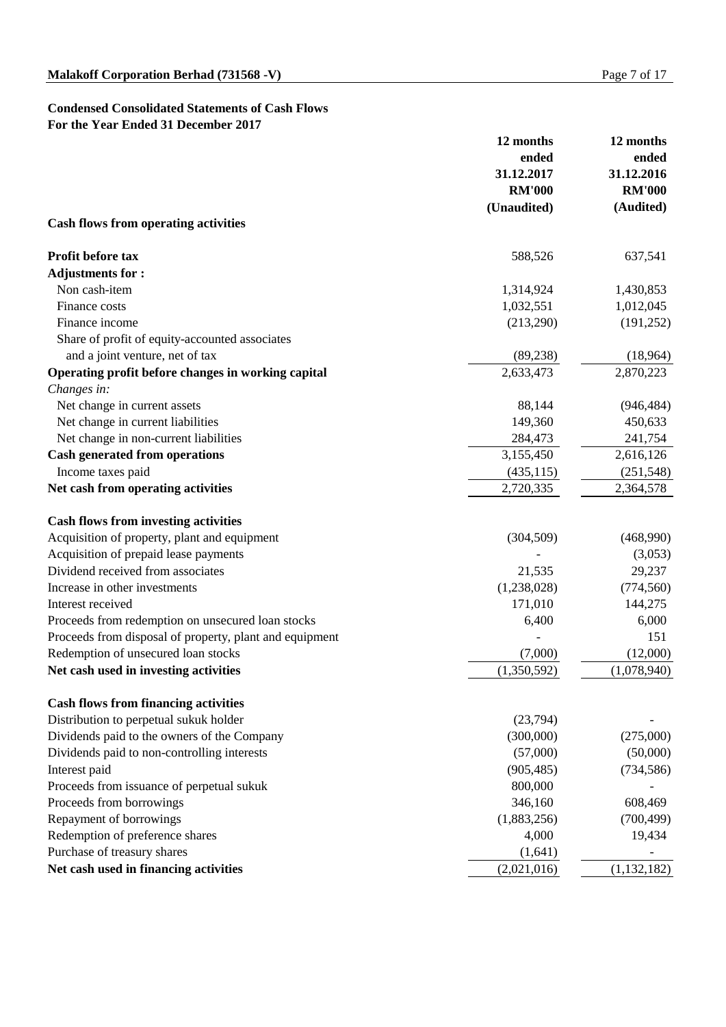#### **Condensed Consolidated Statements of Cash Flows For the Year Ended 31 December 2017**

|                                                         | 12 months     | 12 months                   |  |
|---------------------------------------------------------|---------------|-----------------------------|--|
|                                                         | ended         | ended                       |  |
|                                                         | 31.12.2017    | 31.12.2016<br><b>RM'000</b> |  |
|                                                         | <b>RM'000</b> |                             |  |
|                                                         | (Unaudited)   | (Audited)                   |  |
| <b>Cash flows from operating activities</b>             |               |                             |  |
| Profit before tax                                       | 588,526       | 637,541                     |  |
| <b>Adjustments for:</b>                                 |               |                             |  |
| Non cash-item                                           | 1,314,924     | 1,430,853                   |  |
| Finance costs                                           | 1,032,551     | 1,012,045                   |  |
| Finance income                                          | (213,290)     | (191, 252)                  |  |
| Share of profit of equity-accounted associates          |               |                             |  |
| and a joint venture, net of tax                         | (89, 238)     | (18,964)                    |  |
| Operating profit before changes in working capital      | 2,633,473     | 2,870,223                   |  |
| Changes in:                                             |               |                             |  |
| Net change in current assets                            | 88,144        | (946, 484)                  |  |
| Net change in current liabilities                       | 149,360       | 450,633                     |  |
| Net change in non-current liabilities                   | 284,473       | 241,754                     |  |
| <b>Cash generated from operations</b>                   | 3,155,450     | 2,616,126                   |  |
| Income taxes paid                                       | (435, 115)    | (251, 548)                  |  |
| Net cash from operating activities                      | 2,720,335     | 2,364,578                   |  |
| <b>Cash flows from investing activities</b>             |               |                             |  |
| Acquisition of property, plant and equipment            | (304, 509)    | (468,990)                   |  |
| Acquisition of prepaid lease payments                   |               | (3,053)                     |  |
| Dividend received from associates                       | 21,535        | 29,237                      |  |
| Increase in other investments                           | (1,238,028)   | (774, 560)                  |  |
| Interest received                                       | 171,010       | 144,275                     |  |
| Proceeds from redemption on unsecured loan stocks       | 6,400         | 6,000                       |  |
| Proceeds from disposal of property, plant and equipment |               | 151                         |  |
| Redemption of unsecured loan stocks                     | (7,000)       | (12,000)                    |  |
| Net cash used in investing activities                   | (1,350,592)   | (1,078,940)                 |  |
| <b>Cash flows from financing activities</b>             |               |                             |  |
| Distribution to perpetual sukuk holder                  | (23,794)      |                             |  |
| Dividends paid to the owners of the Company             | (300,000)     | (275,000)                   |  |
| Dividends paid to non-controlling interests             | (57,000)      | (50,000)                    |  |
| Interest paid                                           | (905, 485)    | (734, 586)                  |  |
| Proceeds from issuance of perpetual sukuk               | 800,000       |                             |  |
| Proceeds from borrowings                                | 346,160       | 608,469                     |  |
| Repayment of borrowings                                 | (1,883,256)   | (700, 499)                  |  |
| Redemption of preference shares                         | 4,000         | 19,434                      |  |
| Purchase of treasury shares                             | (1,641)       |                             |  |
| Net cash used in financing activities                   | (2,021,016)   | (1, 132, 182)               |  |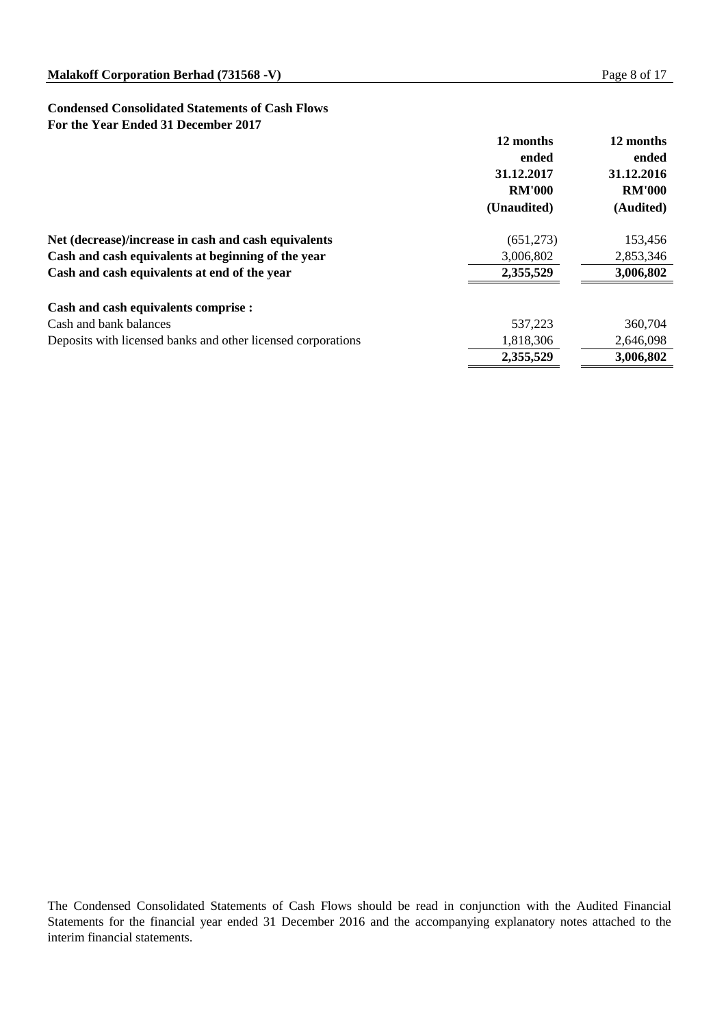#### **Condensed Consolidated Statements of Cash Flows For the Year Ended 31 December 2017**

|                                                              | 12 months<br>ended<br>31.12.2017<br><b>RM'000</b><br>(Unaudited) | 12 months<br>ended<br>31.12.2016<br><b>RM'000</b><br>(Audited) |
|--------------------------------------------------------------|------------------------------------------------------------------|----------------------------------------------------------------|
| Net (decrease)/increase in cash and cash equivalents         | (651,273)                                                        | 153,456                                                        |
| Cash and cash equivalents at beginning of the year           | 3,006,802                                                        | 2,853,346                                                      |
| Cash and cash equivalents at end of the year                 | 2,355,529                                                        | 3,006,802                                                      |
| Cash and cash equivalents comprise :                         |                                                                  |                                                                |
| Cash and bank balances                                       | 537.223                                                          | 360,704                                                        |
| Deposits with licensed banks and other licensed corporations | 1,818,306                                                        | 2,646,098                                                      |
|                                                              | 2,355,529                                                        | 3,006,802                                                      |

The Condensed Consolidated Statements of Cash Flows should be read in conjunction with the Audited Financial Statements for the financial year ended 31 December 2016 and the accompanying explanatory notes attached to the interim financial statements.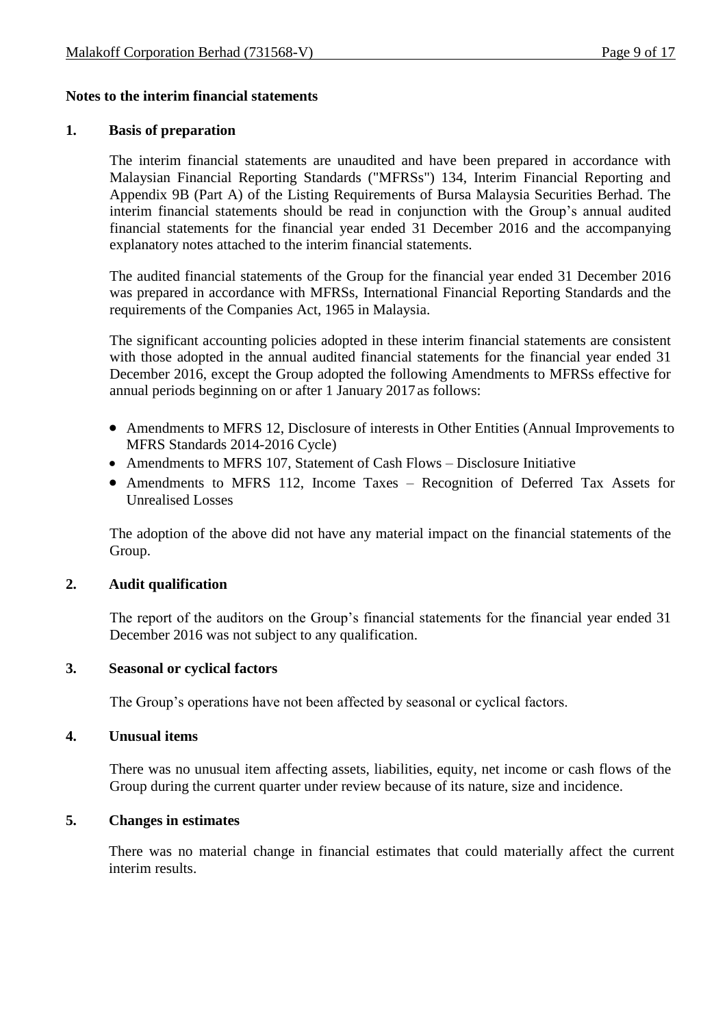# **Notes to the interim financial statements**

## **1. Basis of preparation**

The interim financial statements are unaudited and have been prepared in accordance with Malaysian Financial Reporting Standards ("MFRSs") 134, Interim Financial Reporting and Appendix 9B (Part A) of the Listing Requirements of Bursa Malaysia Securities Berhad. The interim financial statements should be read in conjunction with the Group's annual audited financial statements for the financial year ended 31 December 2016 and the accompanying explanatory notes attached to the interim financial statements.

The audited financial statements of the Group for the financial year ended 31 December 2016 was prepared in accordance with MFRSs, International Financial Reporting Standards and the requirements of the Companies Act, 1965 in Malaysia.

The significant accounting policies adopted in these interim financial statements are consistent with those adopted in the annual audited financial statements for the financial year ended 31 December 2016, except the Group adopted the following Amendments to MFRSs effective for annual periods beginning on or after 1 January 2017as follows:

- Amendments to MFRS 12, Disclosure of interests in Other Entities (Annual Improvements to MFRS Standards 2014-2016 Cycle)
- Amendments to MFRS 107, Statement of Cash Flows Disclosure Initiative
- Amendments to MFRS 112, Income Taxes Recognition of Deferred Tax Assets for Unrealised Losses

The adoption of the above did not have any material impact on the financial statements of the Group.

# **2. Audit qualification**

The report of the auditors on the Group's financial statements for the financial year ended 31 December 2016 was not subject to any qualification.

# **3. Seasonal or cyclical factors**

The Group's operations have not been affected by seasonal or cyclical factors.

#### **4. Unusual items**

There was no unusual item affecting assets, liabilities, equity, net income or cash flows of the Group during the current quarter under review because of its nature, size and incidence.

# **5. Changes in estimates**

There was no material change in financial estimates that could materially affect the current interim results.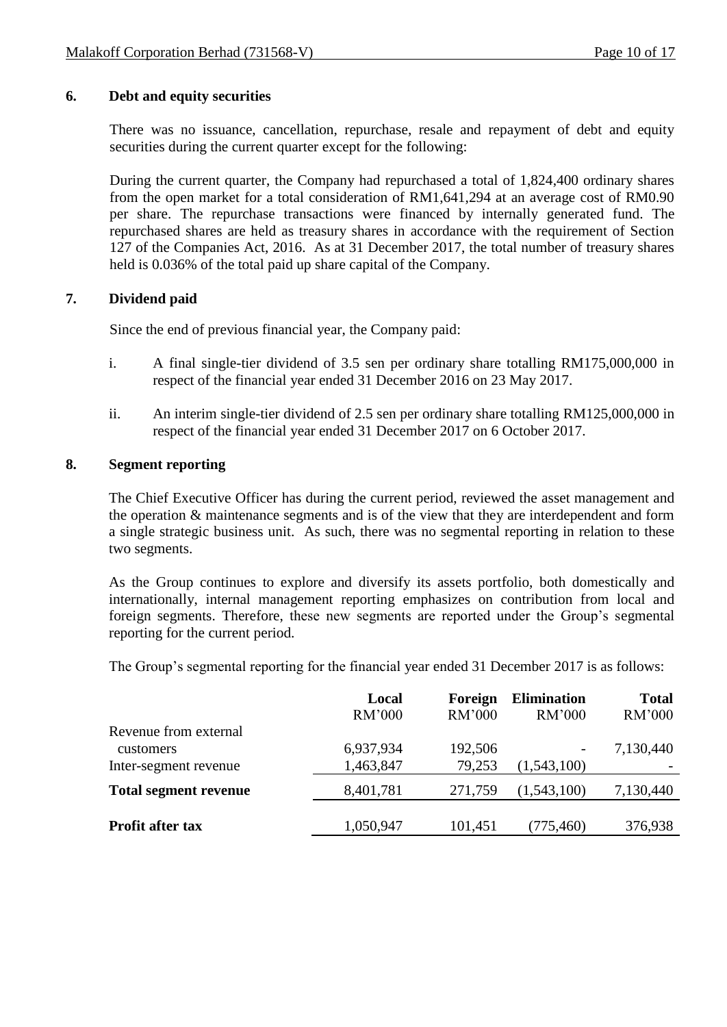# **6. Debt and equity securities**

There was no issuance, cancellation, repurchase, resale and repayment of debt and equity securities during the current quarter except for the following:

During the current quarter, the Company had repurchased a total of 1,824,400 ordinary shares from the open market for a total consideration of RM1,641,294 at an average cost of RM0.90 per share. The repurchase transactions were financed by internally generated fund. The repurchased shares are held as treasury shares in accordance with the requirement of Section 127 of the Companies Act, 2016. As at 31 December 2017, the total number of treasury shares held is 0.036% of the total paid up share capital of the Company.

## **7. Dividend paid**

Since the end of previous financial year, the Company paid:

- i. A final single-tier dividend of 3.5 sen per ordinary share totalling RM175,000,000 in respect of the financial year ended 31 December 2016 on 23 May 2017.
- ii. An interim single-tier dividend of 2.5 sen per ordinary share totalling RM125,000,000 in respect of the financial year ended 31 December 2017 on 6 October 2017.

### **8. Segment reporting**

The Chief Executive Officer has during the current period, reviewed the asset management and the operation & maintenance segments and is of the view that they are interdependent and form a single strategic business unit. As such, there was no segmental reporting in relation to these two segments.

As the Group continues to explore and diversify its assets portfolio, both domestically and internationally, internal management reporting emphasizes on contribution from local and foreign segments. Therefore, these new segments are reported under the Group's segmental reporting for the current period.

The Group's segmental reporting for the financial year ended 31 December 2017 is as follows:

|                              | Local<br><b>RM'000</b> | Foreign<br><b>RM'000</b> | <b>Elimination</b><br>RM'000 | <b>Total</b><br><b>RM'000</b> |
|------------------------------|------------------------|--------------------------|------------------------------|-------------------------------|
| Revenue from external        |                        |                          |                              |                               |
| customers                    | 6,937,934              | 192,506                  | -                            | 7,130,440                     |
| Inter-segment revenue        | 1,463,847              | 79,253                   | (1,543,100)                  |                               |
| <b>Total segment revenue</b> | 8,401,781              | 271,759                  | (1,543,100)                  | 7,130,440                     |
|                              |                        |                          |                              |                               |
| <b>Profit after tax</b>      | 1,050,947              | 101,451                  | (775, 460)                   | 376,938                       |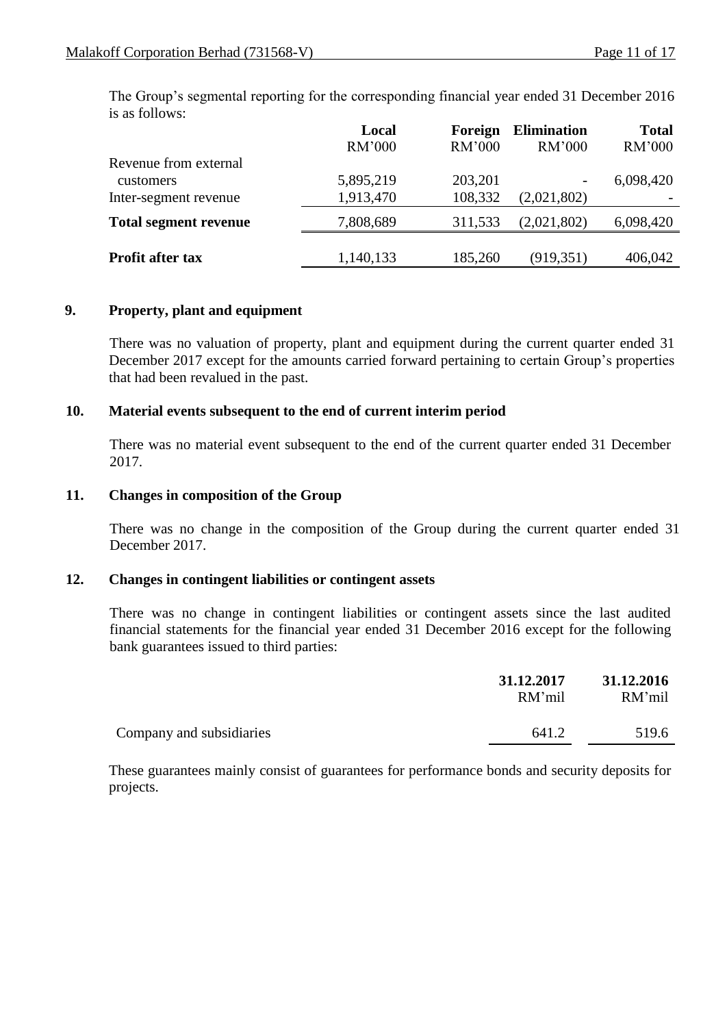The Group's segmental reporting for the corresponding financial year ended 31 December 2016 is as follows:

|                              | Local<br><b>RM'000</b> | Foreign<br>RM'000 | <b>Elimination</b><br>RM'000 | <b>Total</b><br><b>RM'000</b> |
|------------------------------|------------------------|-------------------|------------------------------|-------------------------------|
| Revenue from external        |                        |                   |                              |                               |
| customers                    | 5,895,219              | 203,201           | $\overline{\phantom{a}}$     | 6,098,420                     |
| Inter-segment revenue        | 1,913,470              | 108,332           | (2,021,802)                  |                               |
| <b>Total segment revenue</b> | 7,808,689              | 311,533           | (2,021,802)                  | 6,098,420                     |
|                              |                        |                   |                              |                               |
| <b>Profit after tax</b>      | 1,140,133              | 185,260           | (919, 351)                   | 406,042                       |

## **9. Property, plant and equipment**

There was no valuation of property, plant and equipment during the current quarter ended 31 December 2017 except for the amounts carried forward pertaining to certain Group's properties that had been revalued in the past.

## **10. Material events subsequent to the end of current interim period**

There was no material event subsequent to the end of the current quarter ended 31 December 2017.

## **11. Changes in composition of the Group**

There was no change in the composition of the Group during the current quarter ended 31 December 2017.

#### **12. Changes in contingent liabilities or contingent assets**

There was no change in contingent liabilities or contingent assets since the last audited financial statements for the financial year ended 31 December 2016 except for the following bank guarantees issued to third parties:

|                          | 31.12.2017<br>RM'mil | 31.12.2016<br>RM'mil |
|--------------------------|----------------------|----------------------|
| Company and subsidiaries | 641.2                | 519.6                |

These guarantees mainly consist of guarantees for performance bonds and security deposits for projects.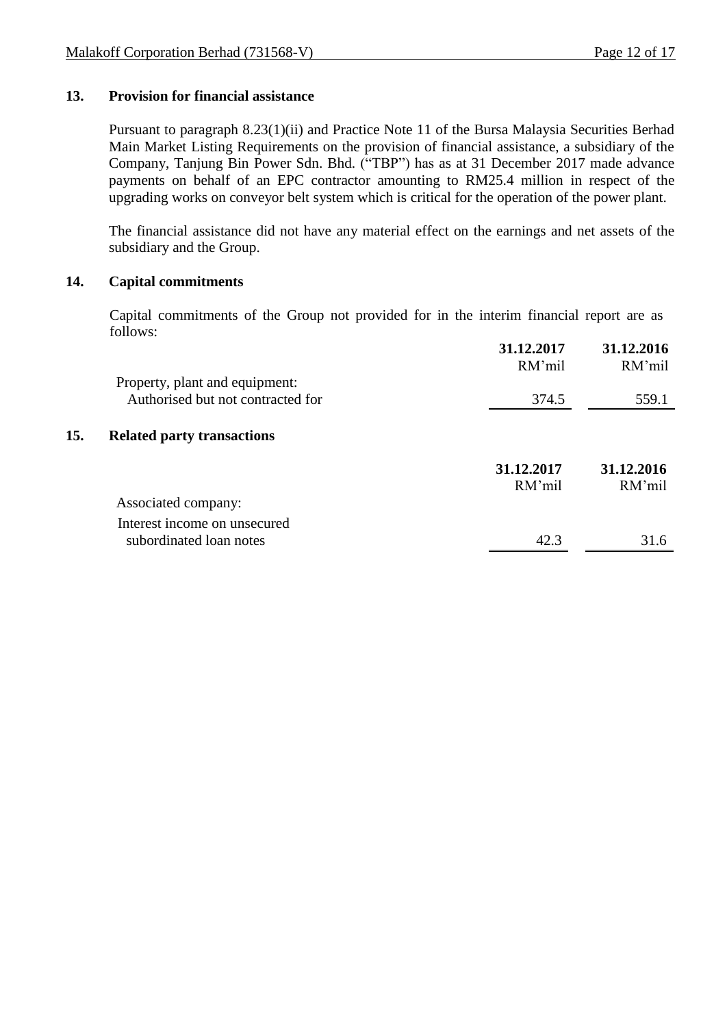## **13. Provision for financial assistance**

Pursuant to paragraph 8.23(1)(ii) and Practice Note 11 of the Bursa Malaysia Securities Berhad Main Market Listing Requirements on the provision of financial assistance, a subsidiary of the Company, Tanjung Bin Power Sdn. Bhd. ("TBP") has as at 31 December 2017 made advance payments on behalf of an EPC contractor amounting to RM25.4 million in respect of the upgrading works on conveyor belt system which is critical for the operation of the power plant.

The financial assistance did not have any material effect on the earnings and net assets of the subsidiary and the Group.

#### **14. Capital commitments**

Capital commitments of the Group not provided for in the interim financial report are as follows:

|     |                                   | 31.12.2017<br>RM'mil | 31.12.2016<br>RM'mil |
|-----|-----------------------------------|----------------------|----------------------|
|     | Property, plant and equipment:    |                      |                      |
|     | Authorised but not contracted for | 374.5                | 559.1                |
| 15. | <b>Related party transactions</b> |                      |                      |
|     |                                   | 31.12.2017<br>RM'mil | 31.12.2016<br>RM'mil |
|     | Associated company:               |                      |                      |
|     | Interest income on unsecured      |                      |                      |
|     | subordinated loan notes           | 42.3                 | 31.6                 |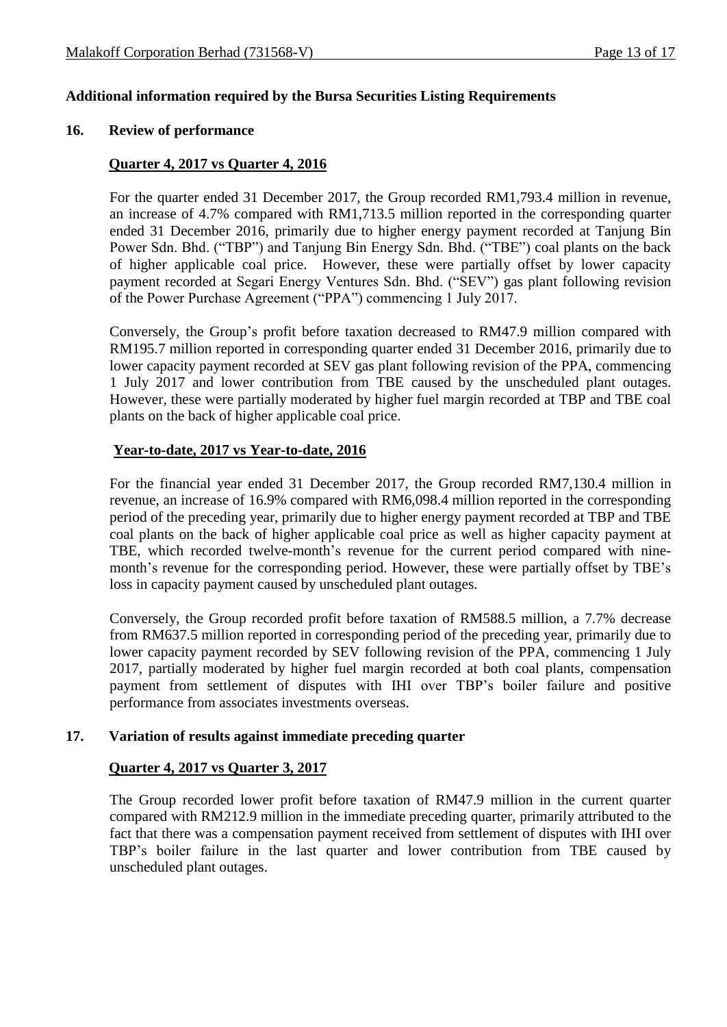## **Additional information required by the Bursa Securities Listing Requirements**

#### **16. Review of performance**

#### **Quarter 4, 2017 vs Quarter 4, 2016**

For the quarter ended 31 December 2017, the Group recorded RM1,793.4 million in revenue, an increase of 4.7% compared with RM1,713.5 million reported in the corresponding quarter ended 31 December 2016, primarily due to higher energy payment recorded at Tanjung Bin Power Sdn. Bhd. ("TBP") and Tanjung Bin Energy Sdn. Bhd. ("TBE") coal plants on the back of higher applicable coal price. However, these were partially offset by lower capacity payment recorded at Segari Energy Ventures Sdn. Bhd. ("SEV") gas plant following revision of the Power Purchase Agreement ("PPA") commencing 1 July 2017.

Conversely, the Group's profit before taxation decreased to RM47.9 million compared with RM195.7 million reported in corresponding quarter ended 31 December 2016, primarily due to lower capacity payment recorded at SEV gas plant following revision of the PPA, commencing 1 July 2017 and lower contribution from TBE caused by the unscheduled plant outages. However, these were partially moderated by higher fuel margin recorded at TBP and TBE coal plants on the back of higher applicable coal price.

#### **Year-to-date, 2017 vs Year-to-date, 2016**

For the financial year ended 31 December 2017, the Group recorded RM7,130.4 million in revenue, an increase of 16.9% compared with RM6,098.4 million reported in the corresponding period of the preceding year, primarily due to higher energy payment recorded at TBP and TBE coal plants on the back of higher applicable coal price as well as higher capacity payment at TBE, which recorded twelve-month's revenue for the current period compared with ninemonth's revenue for the corresponding period. However, these were partially offset by TBE's loss in capacity payment caused by unscheduled plant outages.

Conversely, the Group recorded profit before taxation of RM588.5 million, a 7.7% decrease from RM637.5 million reported in corresponding period of the preceding year, primarily due to lower capacity payment recorded by SEV following revision of the PPA, commencing 1 July 2017, partially moderated by higher fuel margin recorded at both coal plants, compensation payment from settlement of disputes with IHI over TBP's boiler failure and positive performance from associates investments overseas.

#### **17. Variation of results against immediate preceding quarter**

### **Quarter 4, 2017 vs Quarter 3, 2017**

The Group recorded lower profit before taxation of RM47.9 million in the current quarter compared with RM212.9 million in the immediate preceding quarter, primarily attributed to the fact that there was a compensation payment received from settlement of disputes with IHI over TBP's boiler failure in the last quarter and lower contribution from TBE caused by unscheduled plant outages.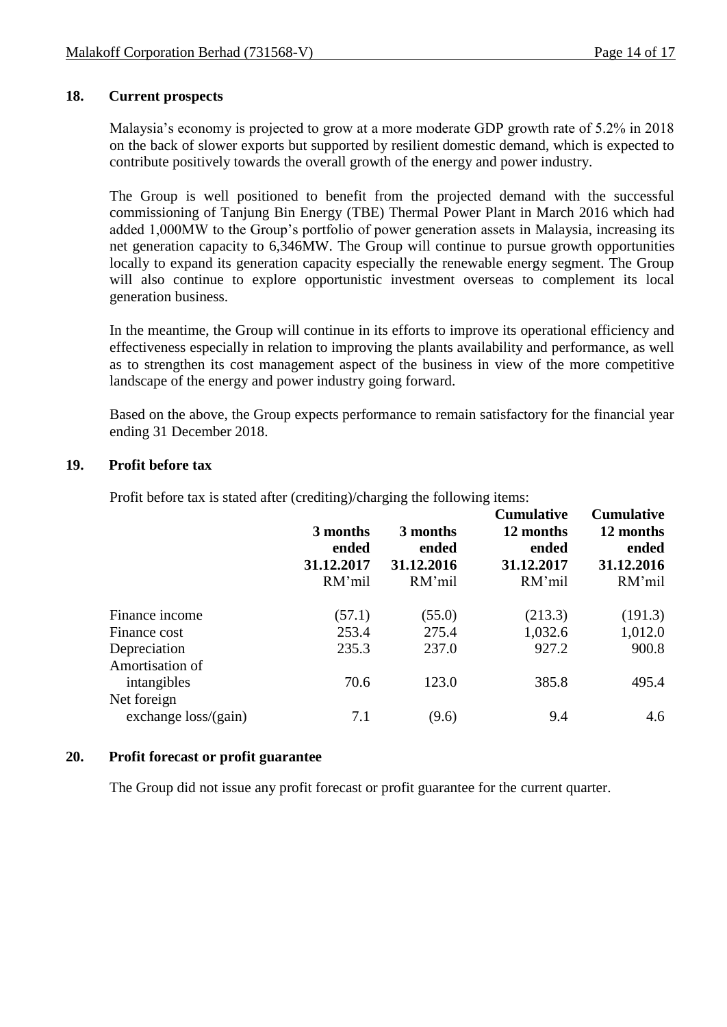# **18. Current prospects**

Malaysia's economy is projected to grow at a more moderate GDP growth rate of 5.2% in 2018 on the back of slower exports but supported by resilient domestic demand, which is expected to contribute positively towards the overall growth of the energy and power industry.

The Group is well positioned to benefit from the projected demand with the successful commissioning of Tanjung Bin Energy (TBE) Thermal Power Plant in March 2016 which had added 1,000MW to the Group's portfolio of power generation assets in Malaysia, increasing its net generation capacity to 6,346MW. The Group will continue to pursue growth opportunities locally to expand its generation capacity especially the renewable energy segment. The Group will also continue to explore opportunistic investment overseas to complement its local generation business.

In the meantime, the Group will continue in its efforts to improve its operational efficiency and effectiveness especially in relation to improving the plants availability and performance, as well as to strengthen its cost management aspect of the business in view of the more competitive landscape of the energy and power industry going forward.

Based on the above, the Group expects performance to remain satisfactory for the financial year ending 31 December 2018.

## **19. Profit before tax**

Profit before tax is stated after (crediting)/charging the following items:

|                                | 3 months<br>ended<br>31.12.2017<br>RM'mil | 3 months<br>ended<br>31.12.2016<br>RM'mil | <b>Cumulative</b><br>12 months<br>ended<br>31.12.2017<br>RM'mil | <b>Cumulative</b><br>12 months<br>ended<br>31.12.2016<br>RM'mil |
|--------------------------------|-------------------------------------------|-------------------------------------------|-----------------------------------------------------------------|-----------------------------------------------------------------|
| Finance income                 | (57.1)                                    | (55.0)                                    | (213.3)                                                         | (191.3)                                                         |
| Finance cost                   | 253.4                                     | 275.4                                     | 1,032.6                                                         | 1,012.0                                                         |
| Depreciation                   | 235.3                                     | 237.0                                     | 927.2                                                           | 900.8                                                           |
| Amortisation of<br>intangibles | 70.6                                      | 123.0                                     | 385.8                                                           | 495.4                                                           |
| Net foreign                    |                                           |                                           |                                                                 |                                                                 |
| exchange $loss/(gain)$         | 7.1                                       | (9.6)                                     | 9.4                                                             | 4.6                                                             |

# **20. Profit forecast or profit guarantee**

The Group did not issue any profit forecast or profit guarantee for the current quarter.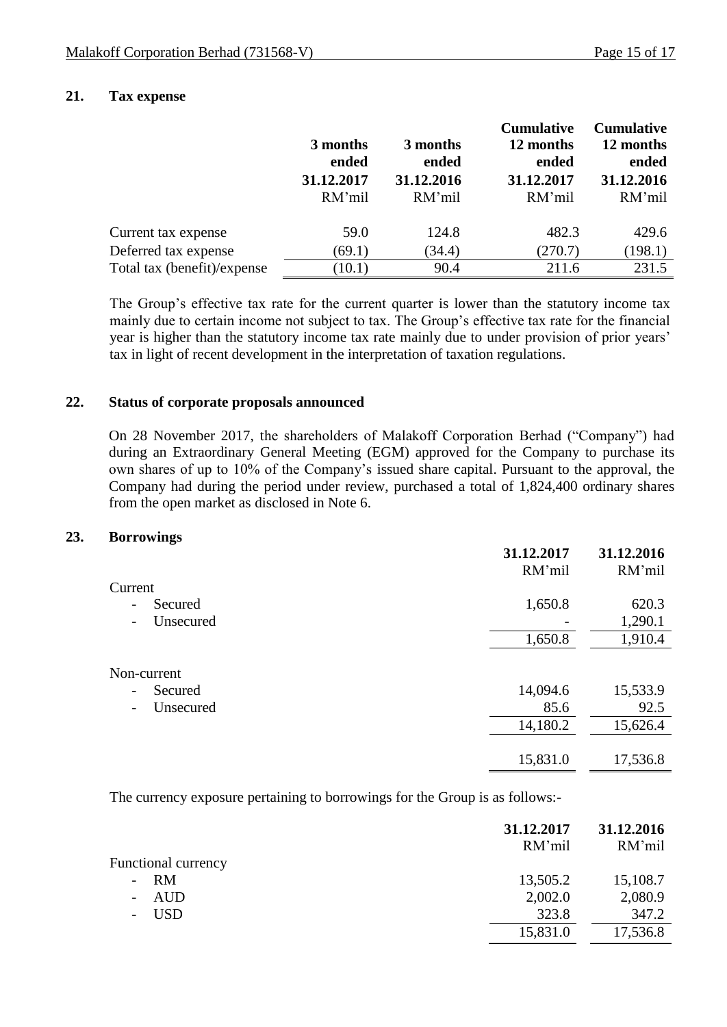## **21. Tax expense**

|                             |            |            | <b>Cumulative</b> | <b>Cumulative</b> |
|-----------------------------|------------|------------|-------------------|-------------------|
|                             | 3 months   | 3 months   | 12 months         | 12 months         |
|                             | ended      | ended      | ended             | ended             |
|                             | 31.12.2017 | 31.12.2016 | 31.12.2017        | 31.12.2016        |
|                             | RM'mil     | RM'mil     | RM'mil            | RM'mil            |
| Current tax expense         | 59.0       | 124.8      | 482.3             | 429.6             |
| Deferred tax expense        | (69.1)     | (34.4)     | (270.7)           | (198.1)           |
| Total tax (benefit)/expense | (10.1)     | 90.4       | 211.6             | 231.5             |

The Group's effective tax rate for the current quarter is lower than the statutory income tax mainly due to certain income not subject to tax. The Group's effective tax rate for the financial year is higher than the statutory income tax rate mainly due to under provision of prior years' tax in light of recent development in the interpretation of taxation regulations.

#### **22. Status of corporate proposals announced**

On 28 November 2017, the shareholders of Malakoff Corporation Berhad ("Company") had during an Extraordinary General Meeting (EGM) approved for the Company to purchase its own shares of up to 10% of the Company's issued share capital. Pursuant to the approval, the Company had during the period under review, purchased a total of 1,824,400 ordinary shares from the open market as disclosed in Note 6.

#### **23. Borrowings**

|                                       | 31.12.2017<br>RM'mil | 31.12.2016<br>RM'mil |
|---------------------------------------|----------------------|----------------------|
| Current                               |                      |                      |
| Secured<br>$\overline{\phantom{a}}$   | 1,650.8              | 620.3                |
| Unsecured<br>$\overline{\phantom{a}}$ |                      | 1,290.1              |
|                                       | 1,650.8              | 1,910.4              |
| Non-current                           |                      |                      |
| Secured<br>$\overline{\phantom{a}}$   | 14,094.6             | 15,533.9             |
| Unsecured<br>$\overline{\phantom{a}}$ | 85.6                 | 92.5                 |
|                                       | 14,180.2             | 15,626.4             |
|                                       | 15,831.0             | 17,536.8             |

The currency exposure pertaining to borrowings for the Group is as follows:-

|                            | 31.12.2017<br>RM'mil | 31.12.2016<br>RM'mil |
|----------------------------|----------------------|----------------------|
| <b>Functional currency</b> |                      |                      |
| $- RM$                     | 13,505.2             | 15,108.7             |
| AUD                        | 2,002.0              | 2,080.9              |
| - USD                      | 323.8                | 347.2                |
|                            | 15,831.0             | 17,536.8             |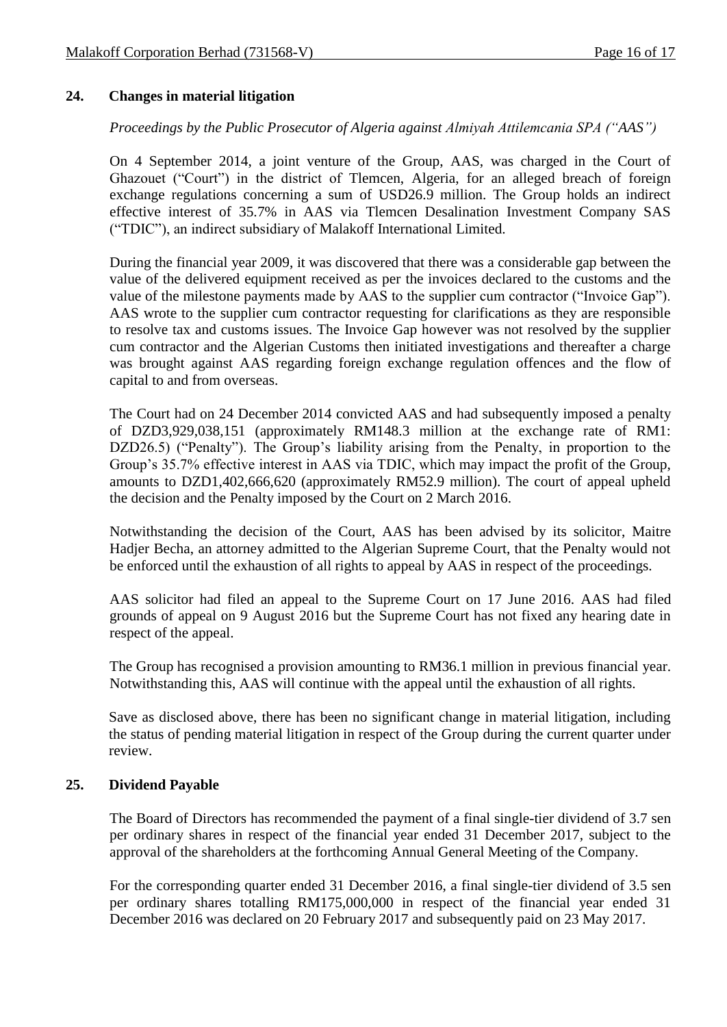## **24. Changes in material litigation**

## *Proceedings by the Public Prosecutor of Algeria against Almiyah Attilemcania SPA ("AAS")*

On 4 September 2014, a joint venture of the Group, AAS, was charged in the Court of Ghazouet ("Court") in the district of Tlemcen, Algeria, for an alleged breach of foreign exchange regulations concerning a sum of USD26.9 million. The Group holds an indirect effective interest of 35.7% in AAS via Tlemcen Desalination Investment Company SAS ("TDIC"), an indirect subsidiary of Malakoff International Limited.

During the financial year 2009, it was discovered that there was a considerable gap between the value of the delivered equipment received as per the invoices declared to the customs and the value of the milestone payments made by AAS to the supplier cum contractor ("Invoice Gap"). AAS wrote to the supplier cum contractor requesting for clarifications as they are responsible to resolve tax and customs issues. The Invoice Gap however was not resolved by the supplier cum contractor and the Algerian Customs then initiated investigations and thereafter a charge was brought against AAS regarding foreign exchange regulation offences and the flow of capital to and from overseas.

The Court had on 24 December 2014 convicted AAS and had subsequently imposed a penalty of DZD3,929,038,151 (approximately RM148.3 million at the exchange rate of RM1: DZD26.5) ("Penalty"). The Group's liability arising from the Penalty, in proportion to the Group's 35.7% effective interest in AAS via TDIC, which may impact the profit of the Group, amounts to DZD1,402,666,620 (approximately RM52.9 million). The court of appeal upheld the decision and the Penalty imposed by the Court on 2 March 2016.

Notwithstanding the decision of the Court, AAS has been advised by its solicitor, Maitre Hadjer Becha, an attorney admitted to the Algerian Supreme Court, that the Penalty would not be enforced until the exhaustion of all rights to appeal by AAS in respect of the proceedings.

AAS solicitor had filed an appeal to the Supreme Court on 17 June 2016. AAS had filed grounds of appeal on 9 August 2016 but the Supreme Court has not fixed any hearing date in respect of the appeal.

The Group has recognised a provision amounting to RM36.1 million in previous financial year. Notwithstanding this, AAS will continue with the appeal until the exhaustion of all rights.

Save as disclosed above, there has been no significant change in material litigation, including the status of pending material litigation in respect of the Group during the current quarter under review.

# **25. Dividend Payable**

The Board of Directors has recommended the payment of a final single-tier dividend of 3.7 sen per ordinary shares in respect of the financial year ended 31 December 2017, subject to the approval of the shareholders at the forthcoming Annual General Meeting of the Company.

For the corresponding quarter ended 31 December 2016, a final single-tier dividend of 3.5 sen per ordinary shares totalling RM175,000,000 in respect of the financial year ended 31 December 2016 was declared on 20 February 2017 and subsequently paid on 23 May 2017.